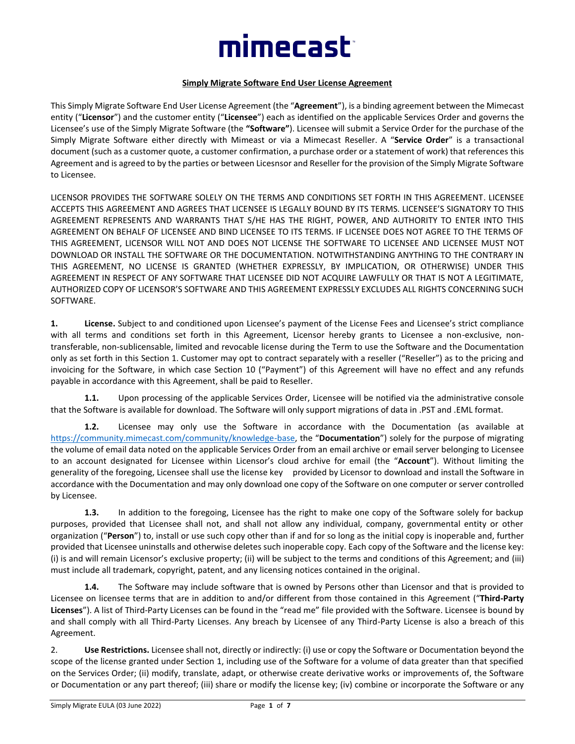# mimecast<sup>-</sup>

#### **Simply Migrate Software End User License Agreement**

This Simply Migrate Software End User License Agreement (the "**Agreement**"), is a binding agreement between the Mimecast entity ("**Licensor**") and the customer entity ("**Licensee**") each as identified on the applicable Services Order and governs the Licensee's use of the Simply Migrate Software (the **"Software"**). Licensee will submit a Service Order for the purchase of the Simply Migrate Software either directly with Mimeast or via a Mimecast Reseller. A "**Service Order**" is a transactional document (such as a customer quote, a customer confirmation, a purchase order or a statement of work) that references this Agreement and is agreed to by the parties or between Licesnsor and Reseller for the provision of the Simply Migrate Software to Licensee.

LICENSOR PROVIDES THE SOFTWARE SOLELY ON THE TERMS AND CONDITIONS SET FORTH IN THIS AGREEMENT. LICENSEE ACCEPTS THIS AGREEMENT AND AGREES THAT LICENSEE IS LEGALLY BOUND BY ITS TERMS. LICENSEE'S SIGNATORY TO THIS AGREEMENT REPRESENTS AND WARRANTS THAT S/HE HAS THE RIGHT, POWER, AND AUTHORITY TO ENTER INTO THIS AGREEMENT ON BEHALF OF LICENSEE AND BIND LICENSEE TO ITS TERMS. IF LICENSEE DOES NOT AGREE TO THE TERMS OF THIS AGREEMENT, LICENSOR WILL NOT AND DOES NOT LICENSE THE SOFTWARE TO LICENSEE AND LICENSEE MUST NOT DOWNLOAD OR INSTALL THE SOFTWARE OR THE DOCUMENTATION. NOTWITHSTANDING ANYTHING TO THE CONTRARY IN THIS AGREEMENT, NO LICENSE IS GRANTED (WHETHER EXPRESSLY, BY IMPLICATION, OR OTHERWISE) UNDER THIS AGREEMENT IN RESPECT OF ANY SOFTWARE THAT LICENSEE DID NOT ACQUIRE LAWFULLY OR THAT IS NOT A LEGITIMATE, AUTHORIZED COPY OF LICENSOR'S SOFTWARE AND THIS AGREEMENT EXPRESSLY EXCLUDES ALL RIGHTS CONCERNING SUCH SOFTWARE.

**1. License.** Subject to and conditioned upon Licensee's payment of the License Fees and Licensee's strict compliance with all terms and conditions set forth in this Agreement, Licensor hereby grants to Licensee a non-exclusive, nontransferable, non-sublicensable, limited and revocable license during the Term to use the Software and the Documentation only as set forth in this Section 1. Customer may opt to contract separately with a reseller ("Reseller") as to the pricing and invoicing for the Software, in which case Section 10 ("Payment") of this Agreement will have no effect and any refunds payable in accordance with this Agreement, shall be paid to Reseller.

**1.1.** Upon processing of the applicable Services Order, Licensee will be notified via the administrative console that the Software is available for download. The Software will only support migrations of data in .PST and .EML format.

**1.2.** Licensee may only use the Software in accordance with the Documentation (as available at <https://community.mimecast.com/community/knowledge-base>, the "**Documentation**") solely for the purpose of migrating the volume of email data noted on the applicable Services Order from an email archive or email server belonging to Licensee to an account designated for Licensee within Licensor's cloud archive for email (the "**Account**"). Without limiting the generality of the foregoing, Licensee shall use the license key provided by Licensor to download and install the Software in accordance with the Documentation and may only download one copy of the Software on one computer or server controlled by Licensee.

**1.3.** In addition to the foregoing, Licensee has the right to make one copy of the Software solely for backup purposes, provided that Licensee shall not, and shall not allow any individual, company, governmental entity or other organization ("**Person**") to, install or use such copy other than if and for so long as the initial copy is inoperable and, further provided that Licensee uninstalls and otherwise deletes such inoperable copy. Each copy of the Software and the license key: (i) is and will remain Licensor's exclusive property; (ii) will be subject to the terms and conditions of this Agreement; and (iii) must include all trademark, copyright, patent, and any licensing notices contained in the original.

**1.4.** The Software may include software that is owned by Persons other than Licensor and that is provided to Licensee on licensee terms that are in addition to and/or different from those contained in this Agreement ("**Third-Party Licenses**"). A list of Third-Party Licenses can be found in the "read me" file provided with the Software. Licensee is bound by and shall comply with all Third-Party Licenses. Any breach by Licensee of any Third-Party License is also a breach of this Agreement.

2. **Use Restrictions.** Licensee shall not, directly or indirectly: (i) use or copy the Software or Documentation beyond the scope of the license granted under Section 1, including use of the Software for a volume of data greater than that specified on the Services Order; (ii) modify, translate, adapt, or otherwise create derivative works or improvements of, the Software or Documentation or any part thereof; (iii) share or modify the license key; (iv) combine or incorporate the Software or any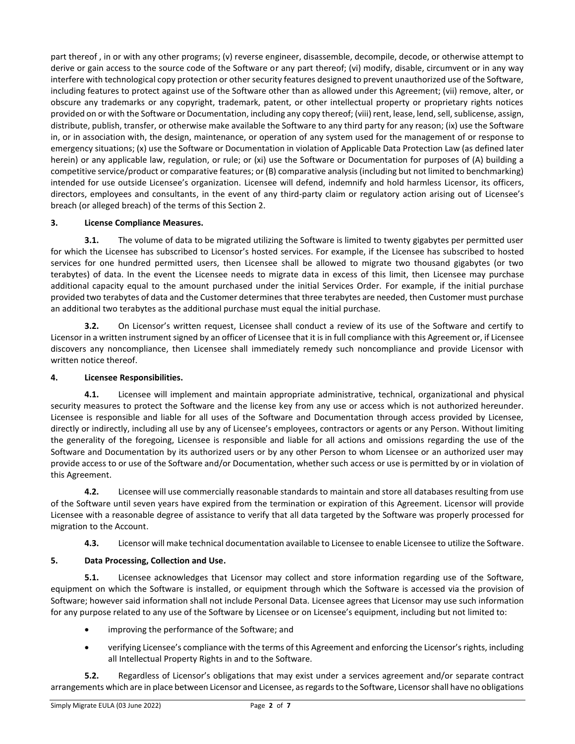part thereof , in or with any other programs; (v) reverse engineer, disassemble, decompile, decode, or otherwise attempt to derive or gain access to the source code of the Software or any part thereof; (vi) modify, disable, circumvent or in any way interfere with technological copy protection or other security features designed to prevent unauthorized use of the Software, including features to protect against use of the Software other than as allowed under this Agreement; (vii) remove, alter, or obscure any trademarks or any copyright, trademark, patent, or other intellectual property or proprietary rights notices provided on or with the Software or Documentation, including any copy thereof; (viii) rent, lease, lend, sell, sublicense, assign, distribute, publish, transfer, or otherwise make available the Software to any third party for any reason; (ix) use the Software in, or in association with, the design, maintenance, or operation of any system used for the management of or response to emergency situations; (x) use the Software or Documentation in violation of Applicable Data Protection Law (as defined later herein) or any applicable law, regulation, or rule; or (xi) use the Software or Documentation for purposes of (A) building a competitive service/product or comparative features; or (B) comparative analysis (including but not limited to benchmarking) intended for use outside Licensee's organization. Licensee will defend, indemnify and hold harmless Licensor, its officers, directors, employees and consultants, in the event of any third-party claim or regulatory action arising out of Licensee's breach (or alleged breach) of the terms of this Section 2.

# **3. License Compliance Measures.**

**3.1.** The volume of data to be migrated utilizing the Software is limited to twenty gigabytes per permitted user for which the Licensee has subscribed to Licensor's hosted services. For example, if the Licensee has subscribed to hosted services for one hundred permitted users, then Licensee shall be allowed to migrate two thousand gigabytes (or two terabytes) of data. In the event the Licensee needs to migrate data in excess of this limit, then Licensee may purchase additional capacity equal to the amount purchased under the initial Services Order. For example, if the initial purchase provided two terabytes of data and the Customer determines that three terabytes are needed, then Customer must purchase an additional two terabytes as the additional purchase must equal the initial purchase.

**3.2.** On Licensor's written request, Licensee shall conduct a review of its use of the Software and certify to Licensor in a written instrument signed by an officer of Licensee that it is in full compliance with this Agreement or, if Licensee discovers any noncompliance, then Licensee shall immediately remedy such noncompliance and provide Licensor with written notice thereof.

# **4. Licensee Responsibilities.**

**4.1.** Licensee will implement and maintain appropriate administrative, technical, organizational and physical security measures to protect the Software and the license key from any use or access which is not authorized hereunder. Licensee is responsible and liable for all uses of the Software and Documentation through access provided by Licensee, directly or indirectly, including all use by any of Licensee's employees, contractors or agents or any Person. Without limiting the generality of the foregoing, Licensee is responsible and liable for all actions and omissions regarding the use of the Software and Documentation by its authorized users or by any other Person to whom Licensee or an authorized user may provide access to or use of the Software and/or Documentation, whether such access or use is permitted by or in violation of this Agreement.

**4.2.** Licensee will use commercially reasonable standards to maintain and store all databases resulting from use of the Software until seven years have expired from the termination or expiration of this Agreement. Licensor will provide Licensee with a reasonable degree of assistance to verify that all data targeted by the Software was properly processed for migration to the Account.

**4.3.** Licensor will make technical documentation available to Licensee to enable Licensee to utilize the Software.

# **5. Data Processing, Collection and Use.**

**5.1.** Licensee acknowledges that Licensor may collect and store information regarding use of the Software, equipment on which the Software is installed, or equipment through which the Software is accessed via the provision of Software; however said information shall not include Personal Data. Licensee agrees that Licensor may use such information for any purpose related to any use of the Software by Licensee or on Licensee's equipment, including but not limited to:

- improving the performance of the Software; and
- verifying Licensee's compliance with the terms of this Agreement and enforcing the Licensor's rights, including all Intellectual Property Rights in and to the Software.

**5.2.** Regardless of Licensor's obligations that may exist under a services agreement and/or separate contract arrangements which are in place between Licensor and Licensee, as regardsto the Software, Licensor shall have no obligations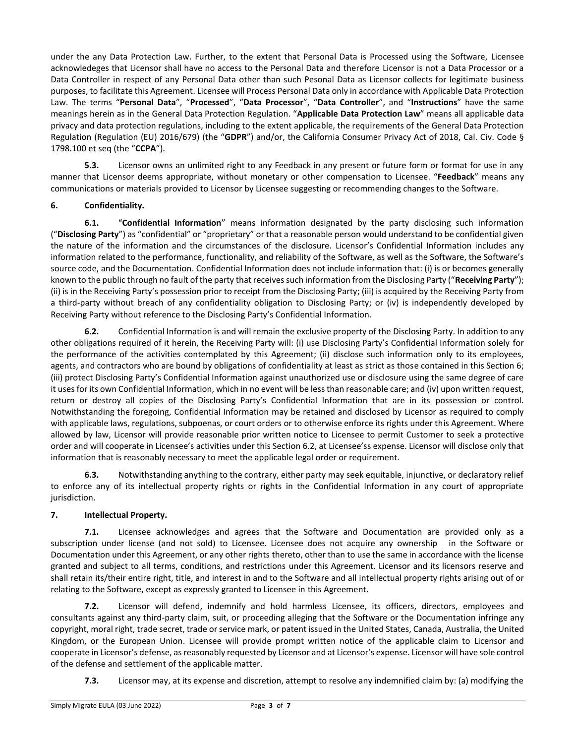under the any Data Protection Law. Further, to the extent that Personal Data is Processed using the Software, Licensee acknowledeges that Licensor shall have no access to the Personal Data and therefore Licensor is not a Data Processor or a Data Controller in respect of any Personal Data other than such Pesonal Data as Licensor collects for legitimate business purposes, to facilitate this Agreement. Licensee will Process Personal Data only in accordance with Applicable Data Protection Law. The terms "**Personal Data**", "**Processed**", "**Data Processor**", "**Data Controller**", and "**Instructions**" have the same meanings herein as in the General Data Protection Regulation. "**Applicable Data Protection Law**" means all applicable data privacy and data protection regulations, including to the extent applicable, the requirements of the General Data Protection Regulation (Regulation (EU) 2016/679) (the "**GDPR**") and/or, the California Consumer Privacy Act of 2018, Cal. Civ. Code § 1798.100 et seq (the "**CCPA**").

**5.3.** Licensor owns an unlimited right to any Feedback in any present or future form or format for use in any manner that Licensor deems appropriate, without monetary or other compensation to Licensee. "**Feedback**" means any communications or materials provided to Licensor by Licensee suggesting or recommending changes to the Software.

# **6. Confidentiality.**

**6.1.** "**Confidential Information**" means information designated by the party disclosing such information ("**Disclosing Party**") as "confidential" or "proprietary" or that a reasonable person would understand to be confidential given the nature of the information and the circumstances of the disclosure. Licensor's Confidential Information includes any information related to the performance, functionality, and reliability of the Software, as well as the Software, the Software's source code, and the Documentation. Confidential Information does not include information that: (i) is or becomes generally known to the public through no fault of the party that receives such information from the Disclosing Party ("**Receiving Party**"); (ii) is in the Receiving Party's possession prior to receipt from the Disclosing Party; (iii) is acquired by the Receiving Party from a third-party without breach of any confidentiality obligation to Disclosing Party; or (iv) is independently developed by Receiving Party without reference to the Disclosing Party's Confidential Information.

**6.2.** Confidential Information is and will remain the exclusive property of the Disclosing Party. In addition to any other obligations required of it herein, the Receiving Party will: (i) use Disclosing Party's Confidential Information solely for the performance of the activities contemplated by this Agreement; (ii) disclose such information only to its employees, agents, and contractors who are bound by obligations of confidentiality at least as strict as those contained in this Section 6; (iii) protect Disclosing Party's Confidential Information against unauthorized use or disclosure using the same degree of care it uses for its own Confidential Information, which in no event will be less than reasonable care; and (iv) upon written request, return or destroy all copies of the Disclosing Party's Confidential Information that are in its possession or control. Notwithstanding the foregoing, Confidential Information may be retained and disclosed by Licensor as required to comply with applicable laws, regulations, subpoenas, or court orders or to otherwise enforce its rights under this Agreement. Where allowed by law, Licensor will provide reasonable prior written notice to Licensee to permit Customer to seek a protective order and will cooperate in Licensee's activities under this Section 6.2, at Licensee'ss expense. Licensor will disclose only that information that is reasonably necessary to meet the applicable legal order or requirement.

**6.3.** Notwithstanding anything to the contrary, either party may seek equitable, injunctive, or declaratory relief to enforce any of its intellectual property rights or rights in the Confidential Information in any court of appropriate jurisdiction.

# **7. Intellectual Property.**

**7.1.** Licensee acknowledges and agrees that the Software and Documentation are provided only as a subscription under license (and not sold) to Licensee. Licensee does not acquire any ownership in the Software or Documentation under this Agreement, or any other rights thereto, other than to use the same in accordance with the license granted and subject to all terms, conditions, and restrictions under this Agreement. Licensor and its licensors reserve and shall retain its/their entire right, title, and interest in and to the Software and all intellectual property rights arising out of or relating to the Software, except as expressly granted to Licensee in this Agreement.

**7.2.** Licensor will defend, indemnify and hold harmless Licensee, its officers, directors, employees and consultants against any third-party claim, suit, or proceeding alleging that the Software or the Documentation infringe any copyright, moral right, trade secret, trade or service mark, or patent issued in the United States, Canada, Australia, the United Kingdom, or the European Union. Licensee will provide prompt written notice of the applicable claim to Licensor and cooperate in Licensor's defense, as reasonably requested by Licensor and at Licensor's expense. Licensor will have sole control of the defense and settlement of the applicable matter.

**7.3.** Licensor may, at its expense and discretion, attempt to resolve any indemnified claim by: (a) modifying the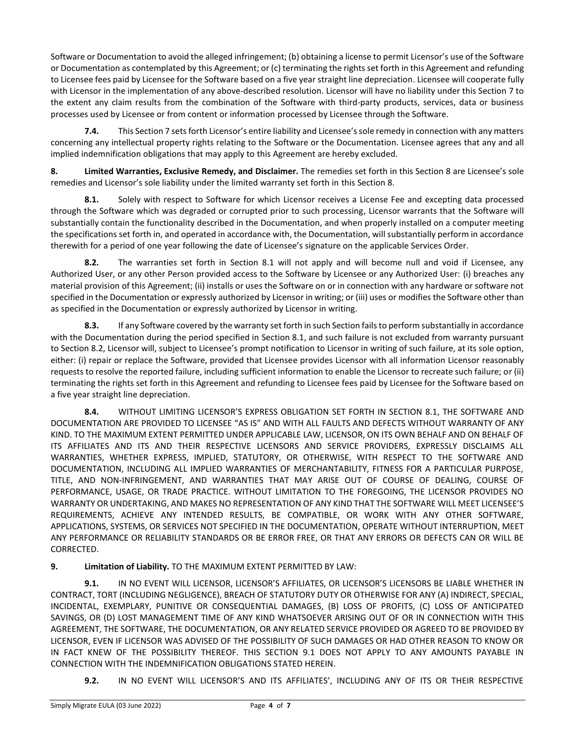Software or Documentation to avoid the alleged infringement; (b) obtaining a license to permit Licensor's use of the Software or Documentation as contemplated by this Agreement; or (c) terminating the rights set forth in this Agreement and refunding to Licensee fees paid by Licensee for the Software based on a five year straight line depreciation. Licensee will cooperate fully with Licensor in the implementation of any above-described resolution. Licensor will have no liability under this Section 7 to the extent any claim results from the combination of the Software with third-party products, services, data or business processes used by Licensee or from content or information processed by Licensee through the Software.

**7.4.** This Section 7 sets forth Licensor's entire liability and Licensee's sole remedy in connection with any matters concerning any intellectual property rights relating to the Software or the Documentation. Licensee agrees that any and all implied indemnification obligations that may apply to this Agreement are hereby excluded.

**8. Limited Warranties, Exclusive Remedy, and Disclaimer.** The remedies set forth in this Section 8 are Licensee's sole remedies and Licensor's sole liability under the limited warranty set forth in this Section 8.

**8.1.** Solely with respect to Software for which Licensor receives a License Fee and excepting data processed through the Software which was degraded or corrupted prior to such processing, Licensor warrants that the Software will substantially contain the functionality described in the Documentation, and when properly installed on a computer meeting the specifications set forth in, and operated in accordance with, the Documentation, will substantially perform in accordance therewith for a period of one year following the date of Licensee's signature on the applicable Services Order.

**8.2.** The warranties set forth in Section 8.1 will not apply and will become null and void if Licensee, any Authorized User, or any other Person provided access to the Software by Licensee or any Authorized User: (i) breaches any material provision of this Agreement; (ii) installs or uses the Software on or in connection with any hardware or software not specified in the Documentation or expressly authorized by Licensor in writing; or (iii) uses or modifies the Software other than as specified in the Documentation or expressly authorized by Licensor in writing.

**8.3.** If any Software covered by the warranty set forth in such Section fails to perform substantially in accordance with the Documentation during the period specified in Section 8.1, and such failure is not excluded from warranty pursuant to Section 8.2, Licensor will, subject to Licensee's prompt notification to Licensor in writing of such failure, at its sole option, either: (i) repair or replace the Software, provided that Licensee provides Licensor with all information Licensor reasonably requests to resolve the reported failure, including sufficient information to enable the Licensor to recreate such failure; or (ii) terminating the rights set forth in this Agreement and refunding to Licensee fees paid by Licensee for the Software based on a five year straight line depreciation.

**8.4.** WITHOUT LIMITING LICENSOR'S EXPRESS OBLIGATION SET FORTH IN SECTION 8.1, THE SOFTWARE AND DOCUMENTATION ARE PROVIDED TO LICENSEE "AS IS" AND WITH ALL FAULTS AND DEFECTS WITHOUT WARRANTY OF ANY KIND. TO THE MAXIMUM EXTENT PERMITTED UNDER APPLICABLE LAW, LICENSOR, ON ITS OWN BEHALF AND ON BEHALF OF ITS AFFILIATES AND ITS AND THEIR RESPECTIVE LICENSORS AND SERVICE PROVIDERS, EXPRESSLY DISCLAIMS ALL WARRANTIES, WHETHER EXPRESS, IMPLIED, STATUTORY, OR OTHERWISE, WITH RESPECT TO THE SOFTWARE AND DOCUMENTATION, INCLUDING ALL IMPLIED WARRANTIES OF MERCHANTABILITY, FITNESS FOR A PARTICULAR PURPOSE, TITLE, AND NON-INFRINGEMENT, AND WARRANTIES THAT MAY ARISE OUT OF COURSE OF DEALING, COURSE OF PERFORMANCE, USAGE, OR TRADE PRACTICE. WITHOUT LIMITATION TO THE FOREGOING, THE LICENSOR PROVIDES NO WARRANTY OR UNDERTAKING, AND MAKES NO REPRESENTATION OF ANY KIND THAT THE SOFTWARE WILL MEET LICENSEE'S REQUIREMENTS, ACHIEVE ANY INTENDED RESULTS, BE COMPATIBLE, OR WORK WITH ANY OTHER SOFTWARE, APPLICATIONS, SYSTEMS, OR SERVICES NOT SPECIFIED IN THE DOCUMENTATION, OPERATE WITHOUT INTERRUPTION, MEET ANY PERFORMANCE OR RELIABILITY STANDARDS OR BE ERROR FREE, OR THAT ANY ERRORS OR DEFECTS CAN OR WILL BE CORRECTED.

# **9. Limitation of Liability.** TO THE MAXIMUM EXTENT PERMITTED BY LAW:

<span id="page-3-0"></span>**9.1.** IN NO EVENT WILL LICENSOR, LICENSOR'S AFFILIATES, OR LICENSOR'S LICENSORS BE LIABLE WHETHER IN CONTRACT, TORT (INCLUDING NEGLIGENCE), BREACH OF STATUTORY DUTY OR OTHERWISE FOR ANY (A) INDIRECT, SPECIAL, INCIDENTAL, EXEMPLARY, PUNITIVE OR CONSEQUENTIAL DAMAGES, (B) LOSS OF PROFITS, (C) LOSS OF ANTICIPATED SAVINGS, OR (D) LOST MANAGEMENT TIME OF ANY KIND WHATSOEVER ARISING OUT OF OR IN CONNECTION WITH THIS AGREEMENT, THE SOFTWARE, THE DOCUMENTATION, OR ANY RELATED SERVICE PROVIDED OR AGREED TO BE PROVIDED BY LICENSOR, EVEN IF LICENSOR WAS ADVISED OF THE POSSIBILITY OF SUCH DAMAGES OR HAD OTHER REASON TO KNOW OR IN FACT KNEW OF THE POSSIBILITY THEREOF. THIS SECTION 9.1 DOES NOT APPLY TO ANY AMOUNTS PAYABLE IN CONNECTION WITH THE INDEMNIFICATION OBLIGATIONS STATED HEREIN.

**9.2.** IN NO EVENT WILL LICENSOR'S AND ITS AFFILIATES', INCLUDING ANY OF ITS OR THEIR RESPECTIVE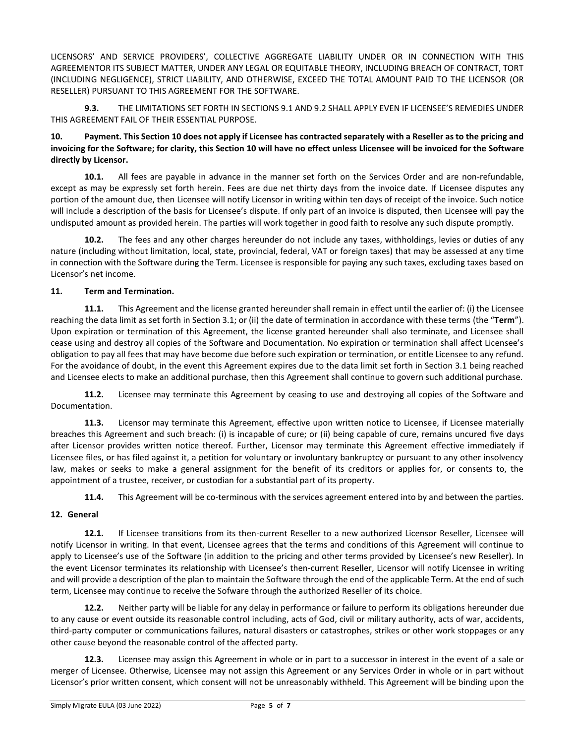LICENSORS' AND SERVICE PROVIDERS', COLLECTIVE AGGREGATE LIABILITY UNDER OR IN CONNECTION WITH THIS AGREEMENTOR ITS SUBJECT MATTER, UNDER ANY LEGAL OR EQUITABLE THEORY, INCLUDING BREACH OF CONTRACT, TORT (INCLUDING NEGLIGENCE), STRICT LIABILITY, AND OTHERWISE, EXCEED THE TOTAL AMOUNT PAID TO THE LICENSOR (OR RESELLER) PURSUANT TO THIS AGREEMENT FOR THE SOFTWARE.

**9.3.** THE LIMITATIONS SET FORTH I[N SECTIONS](#page-3-0) 9.1 AND 9.2 SHALL APPLY EVEN IF LICENSEE'S REMEDIES UNDER THIS AGREEMENT FAIL OF THEIR ESSENTIAL PURPOSE.

#### **10. Payment. This Section 10 does not apply if Licensee has contracted separately with a Reseller as to the pricing and invoicing for the Software; for clarity, this Section 10 will have no effect unless Llicensee will be invoiced for the Software directly by Licensor.**

**10.1.** All fees are payable in advance in the manner set forth on the Services Order and are non-refundable, except as may be expressly set forth herein. Fees are due net thirty days from the invoice date. If Licensee disputes any portion of the amount due, then Licensee will notify Licensor in writing within ten days of receipt of the invoice. Such notice will include a description of the basis for Licensee's dispute. If only part of an invoice is disputed, then Licensee will pay the undisputed amount as provided herein. The parties will work together in good faith to resolve any such dispute promptly.

**10.2.** The fees and any other charges hereunder do not include any taxes, withholdings, levies or duties of any nature (including without limitation, local, state, provincial, federal, VAT or foreign taxes) that may be assessed at any time in connection with the Software during the Term. Licensee is responsible for paying any such taxes, excluding taxes based on Licensor's net income.

# **11. Term and Termination.**

**11.1.** This Agreement and the license granted hereunder shall remain in effect until the earlier of: (i) the Licensee reaching the data limit as set forth in Section 3.1; or (ii) the date of termination in accordance with these terms (the "**Term**"). Upon expiration or termination of this Agreement, the license granted hereunder shall also terminate, and Licensee shall cease using and destroy all copies of the Software and Documentation. No expiration or termination shall affect Licensee's obligation to pay all fees that may have become due before such expiration or termination, or entitle Licensee to any refund. For the avoidance of doubt, in the event this Agreement expires due to the data limit set forth in Section 3.1 being reached and Licensee elects to make an additional purchase, then this Agreement shall continue to govern such additional purchase.

**11.2.** Licensee may terminate this Agreement by ceasing to use and destroying all copies of the Software and Documentation.

**11.3.** Licensor may terminate this Agreement, effective upon written notice to Licensee, if Licensee materially breaches this Agreement and such breach: (i) is incapable of cure; or (ii) being capable of cure, remains uncured five days after Licensor provides written notice thereof. Further, Licensor may terminate this Agreement effective immediately if Licensee files, or has filed against it, a petition for voluntary or involuntary bankruptcy or pursuant to any other insolvency law, makes or seeks to make a general assignment for the benefit of its creditors or applies for, or consents to, the appointment of a trustee, receiver, or custodian for a substantial part of its property.

**11.4.** This Agreement will be co-terminous with the services agreement entered into by and between the parties.

# **12. General**

**12.1.** If Licensee transitions from its then-current Reseller to a new authorized Licensor Reseller, Licensee will notify Licensor in writing. In that event, Licensee agrees that the terms and conditions of this Agreement will continue to apply to Licensee's use of the Software (in addition to the pricing and other terms provided by Licensee's new Reseller). In the event Licensor terminates its relationship with Licensee's then-current Reseller, Licensor will notify Licensee in writing and will provide a description of the plan to maintain the Software through the end of the applicable Term. At the end of such term, Licensee may continue to receive the Sofware through the authorized Reseller of its choice.

**12.2.** Neither party will be liable for any delay in performance or failure to perform its obligations hereunder due to any cause or event outside its reasonable control including, acts of God, civil or military authority, acts of war, accidents, third-party computer or communications failures, natural disasters or catastrophes, strikes or other work stoppages or any other cause beyond the reasonable control of the affected party.

**12.3.** Licensee may assign this Agreement in whole or in part to a successor in interest in the event of a sale or merger of Licensee. Otherwise, Licensee may not assign this Agreement or any Services Order in whole or in part without Licensor's prior written consent, which consent will not be unreasonably withheld. This Agreement will be binding upon the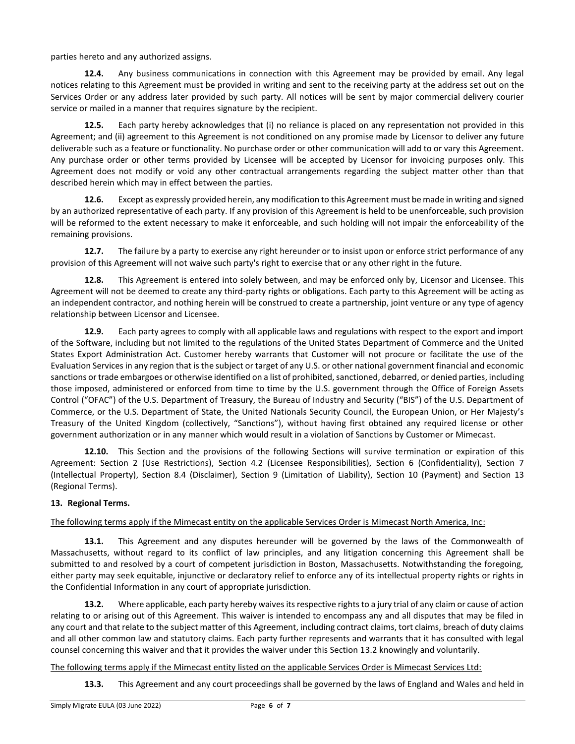parties hereto and any authorized assigns.

**12.4.** Any business communications in connection with this Agreement may be provided by email. Any legal notices relating to this Agreement must be provided in writing and sent to the receiving party at the address set out on the Services Order or any address later provided by such party. All notices will be sent by major commercial delivery courier service or mailed in a manner that requires signature by the recipient.

**12.5.** Each party hereby acknowledges that (i) no reliance is placed on any representation not provided in this Agreement; and (ii) agreement to this Agreement is not conditioned on any promise made by Licensor to deliver any future deliverable such as a feature or functionality. No purchase order or other communication will add to or vary this Agreement. Any purchase order or other terms provided by Licensee will be accepted by Licensor for invoicing purposes only. This Agreement does not modify or void any other contractual arrangements regarding the subject matter other than that described herein which may in effect between the parties.

**12.6.** Except as expressly provided herein, any modification to this Agreement must be made in writing and signed by an authorized representative of each party. If any provision of this Agreement is held to be unenforceable, such provision will be reformed to the extent necessary to make it enforceable, and such holding will not impair the enforceability of the remaining provisions.

**12.7.** The failure by a party to exercise any right hereunder or to insist upon or enforce strict performance of any provision of this Agreement will not waive such party's right to exercise that or any other right in the future.

**12.8.** This Agreement is entered into solely between, and may be enforced only by, Licensor and Licensee. This Agreement will not be deemed to create any third-party rights or obligations. Each party to this Agreement will be acting as an independent contractor, and nothing herein will be construed to create a partnership, joint venture or any type of agency relationship between Licensor and Licensee.

**12.9.** Each party agrees to comply with all applicable laws and regulations with respect to the export and import of the Software, including but not limited to the regulations of the United States Department of Commerce and the United States Export Administration Act. Customer hereby warrants that Customer will not procure or facilitate the use of the Evaluation Services in any region that is the subject or target of any U.S. or other national government financial and economic sanctions or trade embargoes or otherwise identified on a list of prohibited, sanctioned, debarred, or denied parties, including those imposed, administered or enforced from time to time by the U.S. government through the Office of Foreign Assets Control ("OFAC") of the U.S. Department of Treasury, the Bureau of Industry and Security ("BIS") of the U.S. Department of Commerce, or the U.S. Department of State, the United Nationals Security Council, the European Union, or Her Majesty's Treasury of the United Kingdom (collectively, "Sanctions"), without having first obtained any required license or other government authorization or in any manner which would result in a violation of Sanctions by Customer or Mimecast.

**12.10.** This Section and the provisions of the following Sections will survive termination or expiration of this Agreement: Section 2 (Use Restrictions), Section 4.2 (Licensee Responsibilities), Section 6 (Confidentiality), Section 7 (Intellectual Property), Section 8.4 (Disclaimer), Section 9 (Limitation of Liability), Section 10 (Payment) and Section 13 (Regional Terms).

# **13. Regional Terms.**

The following terms apply if the Mimecast entity on the applicable Services Order is Mimecast North America, Inc:

**13.1.** This Agreement and any disputes hereunder will be governed by the laws of the Commonwealth of Massachusetts, without regard to its conflict of law principles, and any litigation concerning this Agreement shall be submitted to and resolved by a court of competent jurisdiction in Boston, Massachusetts. Notwithstanding the foregoing, either party may seek equitable, injunctive or declaratory relief to enforce any of its intellectual property rights or rights in the Confidential Information in any court of appropriate jurisdiction.

**13.2.** Where applicable, each party hereby waives its respective rights to a jury trial of any claim or cause of action relating to or arising out of this Agreement. This waiver is intended to encompass any and all disputes that may be filed in any court and that relate to the subject matter of this Agreement, including contract claims, tort claims, breach of duty claims and all other common law and statutory claims. Each party further represents and warrants that it has consulted with legal counsel concerning this waiver and that it provides the waiver under this Section 13.2 knowingly and voluntarily.

The following terms apply if the Mimecast entity listed on the applicable Services Order is Mimecast Services Ltd:

**13.3.** This Agreement and any court proceedings shall be governed by the laws of England and Wales and held in